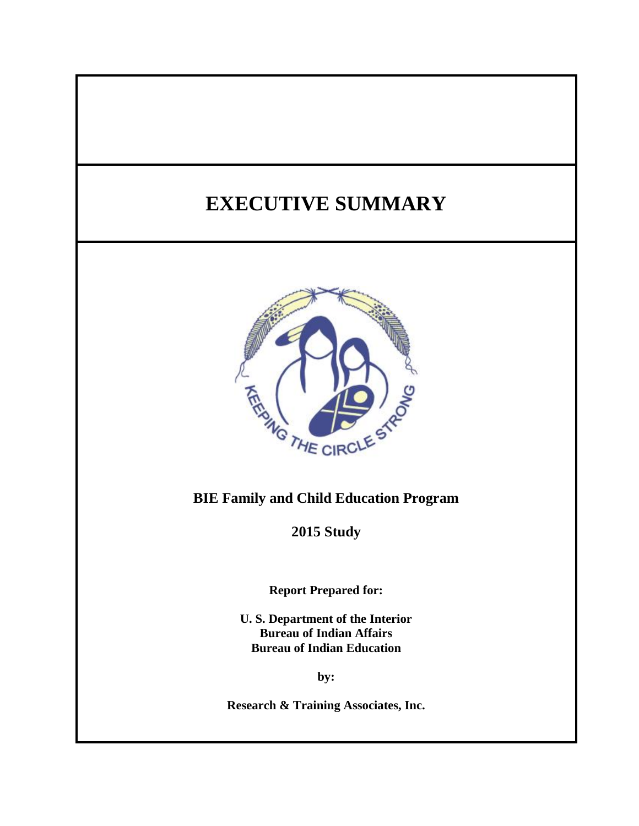# **EXECUTIVE SUMMARY**



## **BIE Family and Child Education Program**

**2015 Study**

**Report Prepared for:**

**U. S. Department of the Interior Bureau of Indian Affairs Bureau of Indian Education**

**by:**

**Research & Training Associates, Inc.**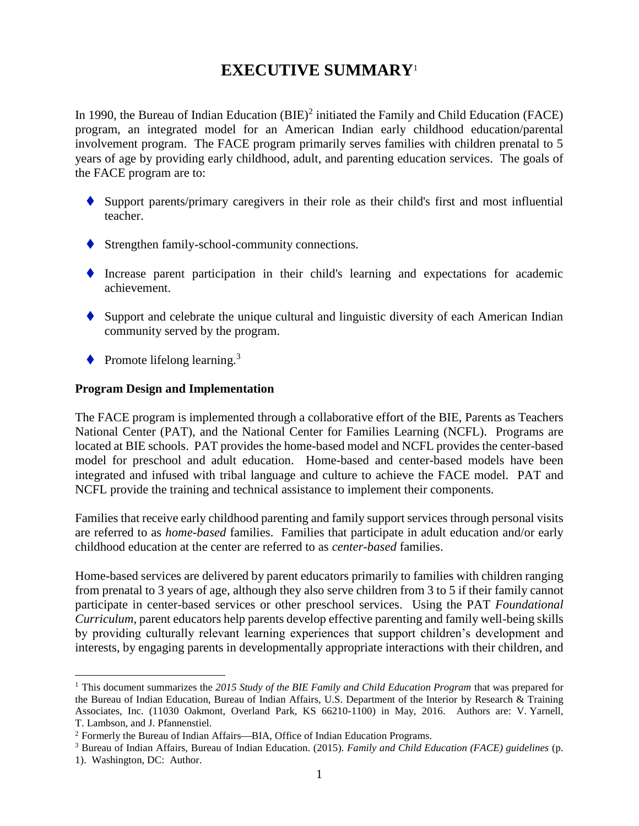# **EXECUTIVE SUMMARY**<sup>1</sup>

In 1990, the Bureau of Indian Education  $(BIE)^2$  initiated the Family and Child Education (FACE) program, an integrated model for an American Indian early childhood education/parental involvement program. The FACE program primarily serves families with children prenatal to 5 years of age by providing early childhood, adult, and parenting education services. The goals of the FACE program are to:

- Support parents/primary caregivers in their role as their child's first and most influential teacher.
- Strengthen family-school-community connections.
- Increase parent participation in their child's learning and expectations for academic achievement.
- $\blacklozenge$  Support and celebrate the unique cultural and linguistic diversity of each American Indian community served by the program.
- $\blacklozenge$  Promote lifelong learning.<sup>3</sup>

 $\overline{a}$ 

#### **Program Design and Implementation**

The FACE program is implemented through a collaborative effort of the BIE, Parents as Teachers National Center (PAT), and the National Center for Families Learning (NCFL). Programs are located at BIE schools. PAT provides the home-based model and NCFL provides the center-based model for preschool and adult education. Home-based and center-based models have been integrated and infused with tribal language and culture to achieve the FACE model. PAT and NCFL provide the training and technical assistance to implement their components.

Families that receive early childhood parenting and family support services through personal visits are referred to as *home-based* families. Families that participate in adult education and/or early childhood education at the center are referred to as *center-based* families.

Home-based services are delivered by parent educators primarily to families with children ranging from prenatal to 3 years of age, although they also serve children from 3 to 5 if their family cannot participate in center-based services or other preschool services. Using the PAT *Foundational Curriculum*, parent educators help parents develop effective parenting and family well-being skills by providing culturally relevant learning experiences that support children's development and interests, by engaging parents in developmentally appropriate interactions with their children, and

<sup>1</sup> This document summarizes the *2015 Study of the BIE Family and Child Education Program* that was prepared for the Bureau of Indian Education, Bureau of Indian Affairs, U.S. Department of the Interior by Research & Training Associates, Inc. (11030 Oakmont, Overland Park, KS 66210-1100) in May, 2016. Authors are: V. Yarnell, T. Lambson, and J. Pfannenstiel.

 $2$  Formerly the Bureau of Indian Affairs—BIA, Office of Indian Education Programs.

<sup>3</sup> Bureau of Indian Affairs, Bureau of Indian Education. (2015). *Family and Child Education (FACE) guidelines* (p. 1). Washington, DC: Author.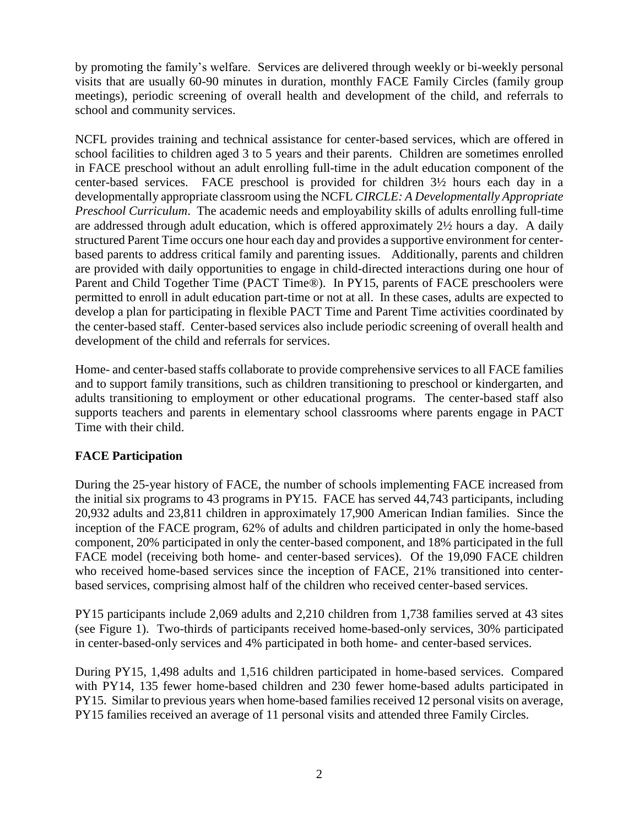by promoting the family's welfare. Services are delivered through weekly or bi-weekly personal visits that are usually 60-90 minutes in duration, monthly FACE Family Circles (family group meetings), periodic screening of overall health and development of the child, and referrals to school and community services.

NCFL provides training and technical assistance for center-based services, which are offered in school facilities to children aged 3 to 5 years and their parents. Children are sometimes enrolled in FACE preschool without an adult enrolling full-time in the adult education component of the center-based services. FACE preschool is provided for children 3½ hours each day in a developmentally appropriate classroom using the NCFL *CIRCLE: A Developmentally Appropriate Preschool Curriculum*. The academic needs and employability skills of adults enrolling full-time are addressed through adult education*,* which is offered approximately 2½ hours a day. A daily structured Parent Time occurs one hour each day and provides a supportive environment for centerbased parents to address critical family and parenting issues. Additionally, parents and children are provided with daily opportunities to engage in child-directed interactions during one hour of Parent and Child Together Time (PACT Time®). In PY15, parents of FACE preschoolers were permitted to enroll in adult education part-time or not at all. In these cases, adults are expected to develop a plan for participating in flexible PACT Time and Parent Time activities coordinated by the center-based staff. Center-based services also include periodic screening of overall health and development of the child and referrals for services.

Home- and center-based staffs collaborate to provide comprehensive services to all FACE families and to support family transitions, such as children transitioning to preschool or kindergarten, and adults transitioning to employment or other educational programs. The center-based staff also supports teachers and parents in elementary school classrooms where parents engage in PACT Time with their child.

### **FACE Participation**

During the 25-year history of FACE, the number of schools implementing FACE increased from the initial six programs to 43 programs in PY15. FACE has served 44,743 participants, including 20,932 adults and 23,811 children in approximately 17,900 American Indian families. Since the inception of the FACE program, 62% of adults and children participated in only the home-based component, 20% participated in only the center-based component, and 18% participated in the full FACE model (receiving both home- and center-based services). Of the 19,090 FACE children who received home-based services since the inception of FACE, 21% transitioned into centerbased services, comprising almost half of the children who received center-based services.

PY15 participants include 2,069 adults and 2,210 children from 1,738 families served at 43 sites (see Figure 1). Two-thirds of participants received home-based-only services, 30% participated in center-based-only services and 4% participated in both home- and center-based services.

During PY15, 1,498 adults and 1,516 children participated in home-based services. Compared with PY14, 135 fewer home-based children and 230 fewer home-based adults participated in PY15. Similar to previous years when home-based families received 12 personal visits on average, PY15 families received an average of 11 personal visits and attended three Family Circles.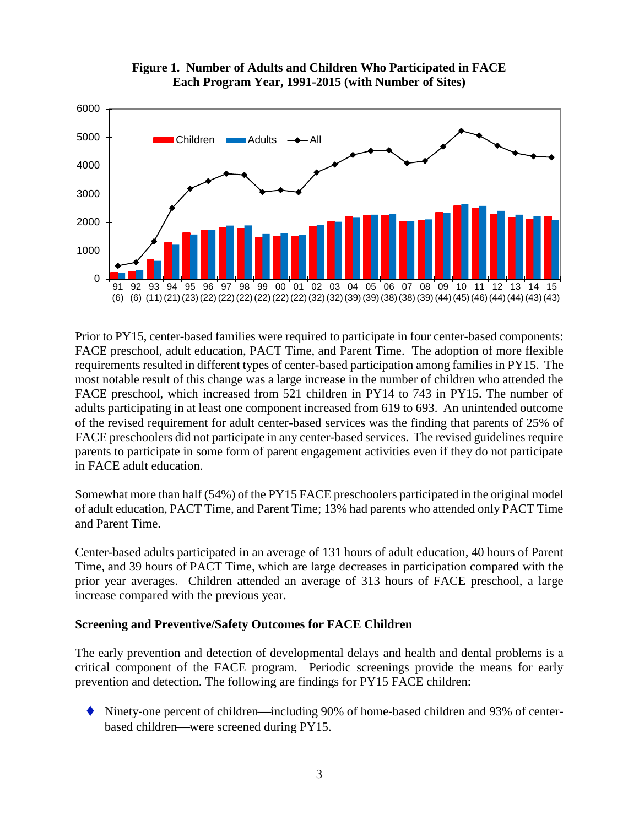

**Figure 1. Number of Adults and Children Who Participated in FACE Each Program Year, 1991-2015 (with Number of Sites)**

Prior to PY15, center-based families were required to participate in four center-based components: FACE preschool, adult education, PACT Time, and Parent Time. The adoption of more flexible requirements resulted in different types of center-based participation among families in PY15. The most notable result of this change was a large increase in the number of children who attended the FACE preschool, which increased from 521 children in PY14 to 743 in PY15. The number of adults participating in at least one component increased from 619 to 693. An unintended outcome of the revised requirement for adult center-based services was the finding that parents of 25% of FACE preschoolers did not participate in any center-based services. The revised guidelines require parents to participate in some form of parent engagement activities even if they do not participate in FACE adult education.

Somewhat more than half (54%) of the PY15 FACE preschoolers participated in the original model of adult education, PACT Time, and Parent Time; 13% had parents who attended only PACT Time and Parent Time.

Center-based adults participated in an average of 131 hours of adult education, 40 hours of Parent Time, and 39 hours of PACT Time, which are large decreases in participation compared with the prior year averages. Children attended an average of 313 hours of FACE preschool, a large increase compared with the previous year.

#### **Screening and Preventive/Safety Outcomes for FACE Children**

The early prevention and detection of developmental delays and health and dental problems is a critical component of the FACE program. Periodic screenings provide the means for early prevention and detection. The following are findings for PY15 FACE children:

 $\blacklozenge$  Ninety-one percent of children—including 90% of home-based children and 93% of centerbased children—were screened during PY15.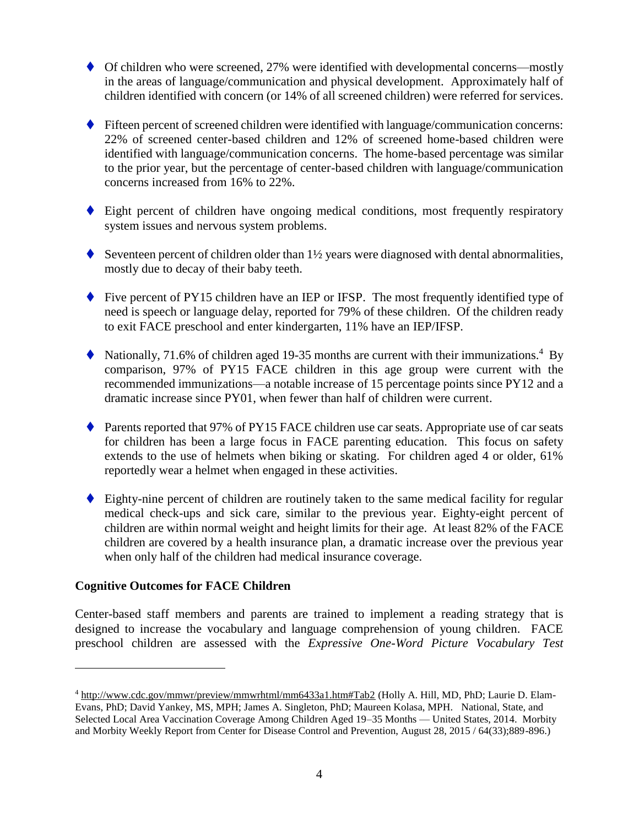- ◆ Of children who were screened, 27% were identified with developmental concerns—mostly in the areas of language/communication and physical development. Approximately half of children identified with concern (or 14% of all screened children) were referred for services.
- Fifteen percent of screened children were identified with language/communication concerns: 22% of screened center-based children and 12% of screened home-based children were identified with language/communication concerns. The home-based percentage was similar to the prior year, but the percentage of center-based children with language/communication concerns increased from 16% to 22%.
- Eight percent of children have ongoing medical conditions, most frequently respiratory system issues and nervous system problems.
- Seventeen percent of children older than  $1\frac{1}{2}$  years were diagnosed with dental abnormalities, mostly due to decay of their baby teeth.
- ◆ Five percent of PY15 children have an IEP or IFSP. The most frequently identified type of need is speech or language delay, reported for 79% of these children. Of the children ready to exit FACE preschool and enter kindergarten, 11% have an IEP/IFSP.
- $\blacklozenge$  Nationally, 71.6% of children aged 19-35 months are current with their immunizations.<sup>4</sup> By comparison, 97% of PY15 FACE children in this age group were current with the recommended immunizations—a notable increase of 15 percentage points since PY12 and a dramatic increase since PY01, when fewer than half of children were current.
- ◆ Parents reported that 97% of PY15 FACE children use car seats. Appropriate use of car seats for children has been a large focus in FACE parenting education. This focus on safety extends to the use of helmets when biking or skating. For children aged 4 or older, 61% reportedly wear a helmet when engaged in these activities.
- Eighty-nine percent of children are routinely taken to the same medical facility for regular medical check-ups and sick care, similar to the previous year. Eighty-eight percent of children are within normal weight and height limits for their age. At least 82% of the FACE children are covered by a health insurance plan, a dramatic increase over the previous year when only half of the children had medical insurance coverage.

#### **Cognitive Outcomes for FACE Children**

 $\overline{a}$ 

Center-based staff members and parents are trained to implement a reading strategy that is designed to increase the vocabulary and language comprehension of young children. FACE preschool children are assessed with the *Expressive One-Word Picture Vocabulary Test*

<sup>4</sup> [http://www.cdc.gov/mmwr/preview/mmwrhtml/mm6433a1.htm#Tab2](http://www.cdc.gov/mmwr/preview/mmwrhtml/mm6433a1.htm%23Tab2) (Holly A. Hill, MD, PhD; Laurie D. Elam-Evans, PhD; David Yankey, MS, MPH; James A. Singleton, PhD; Maureen Kolasa, MPH. National, State, and Selected Local Area Vaccination Coverage Among Children Aged 19–35 Months — United States, 2014. Morbity and Morbity Weekly Report from Center for Disease Control and Prevention, August 28, 2015 / 64(33);889-896.)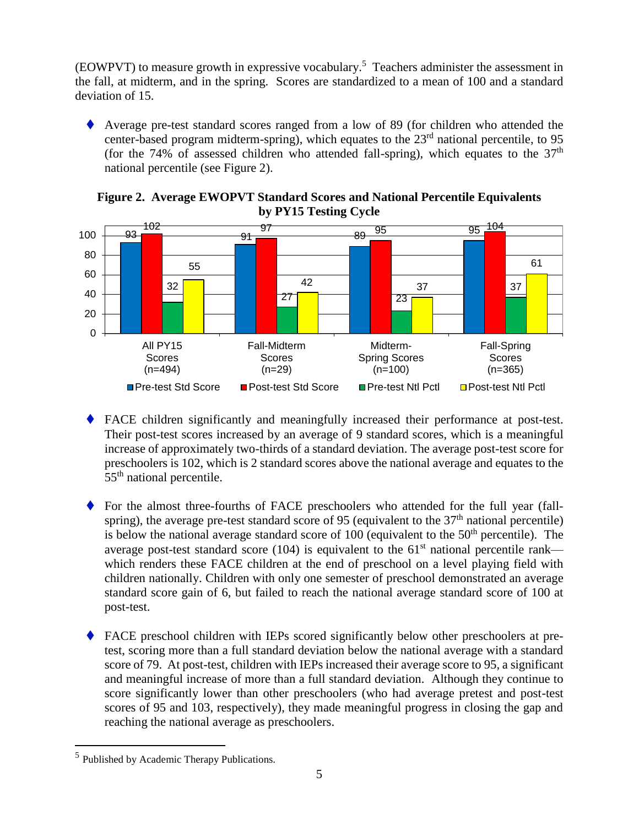(EOWPVT) to measure growth in expressive vocabulary. 5 Teachers administer the assessment in the fall, at midterm, and in the spring. Scores are standardized to a mean of 100 and a standard deviation of 15.

 Average pre-test standard scores ranged from a low of 89 (for children who attended the center-based program midterm-spring), which equates to the 23<sup>rd</sup> national percentile, to 95 (for the 74% of assessed children who attended fall-spring), which equates to the  $37<sup>th</sup>$ national percentile (see Figure 2).



**Figure 2. Average EWOPVT Standard Scores and National Percentile Equivalents by PY15 Testing Cycle**

- FACE children significantly and meaningfully increased their performance at post-test. Their post-test scores increased by an average of 9 standard scores, which is a meaningful increase of approximately two-thirds of a standard deviation. The average post-test score for preschoolers is 102, which is 2 standard scores above the national average and equates to the 55<sup>th</sup> national percentile.
- For the almost three-fourths of FACE preschoolers who attended for the full year (fallspring), the average pre-test standard score of 95 (equivalent to the  $37<sup>th</sup>$  national percentile) is below the national average standard score of  $100$  (equivalent to the  $50<sup>th</sup>$  percentile). The average post-test standard score (104) is equivalent to the  $61<sup>st</sup>$  national percentile rank which renders these FACE children at the end of preschool on a level playing field with children nationally. Children with only one semester of preschool demonstrated an average standard score gain of 6, but failed to reach the national average standard score of 100 at post-test.
- FACE preschool children with IEPs scored significantly below other preschoolers at pretest, scoring more than a full standard deviation below the national average with a standard score of 79. At post-test, children with IEPs increased their average score to 95, a significant and meaningful increase of more than a full standard deviation. Although they continue to score significantly lower than other preschoolers (who had average pretest and post-test scores of 95 and 103, respectively), they made meaningful progress in closing the gap and reaching the national average as preschoolers.

 $\overline{a}$ 

<sup>&</sup>lt;sup>5</sup> Published by Academic Therapy Publications.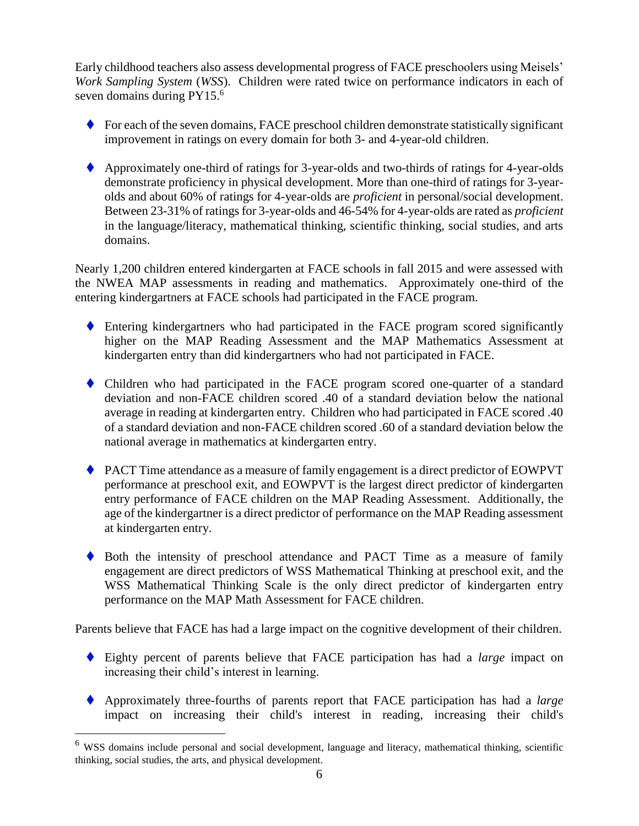Early childhood teachers also assess developmental progress of FACE preschoolers using Meisels' *Work Sampling System* (*WSS*). Children were rated twice on performance indicators in each of seven domains during PY15.<sup>6</sup>

- $\blacklozenge$  For each of the seven domains, FACE preschool children demonstrate statistically significant improvement in ratings on every domain for both 3- and 4-year-old children.
- Approximately one-third of ratings for 3-year-olds and two-thirds of ratings for 4-year-olds demonstrate proficiency in physical development. More than one-third of ratings for 3-yearolds and about 60% of ratings for 4-year-olds are *proficient* in personal/social development. Between 23-31% of ratings for 3-year-olds and 46-54% for 4-year-olds are rated as *proficient* in the language/literacy, mathematical thinking, scientific thinking, social studies, and arts domains.

Nearly 1,200 children entered kindergarten at FACE schools in fall 2015 and were assessed with the NWEA MAP assessments in reading and mathematics. Approximately one-third of the entering kindergartners at FACE schools had participated in the FACE program.

- Entering kindergartners who had participated in the FACE program scored significantly higher on the MAP Reading Assessment and the MAP Mathematics Assessment at kindergarten entry than did kindergartners who had not participated in FACE.
- Children who had participated in the FACE program scored one-quarter of a standard deviation and non-FACE children scored .40 of a standard deviation below the national average in reading at kindergarten entry. Children who had participated in FACE scored .40 of a standard deviation and non-FACE children scored .60 of a standard deviation below the national average in mathematics at kindergarten entry.
- PACT Time attendance as a measure of family engagement is a direct predictor of EOWPVT performance at preschool exit, and EOWPVT is the largest direct predictor of kindergarten entry performance of FACE children on the MAP Reading Assessment. Additionally, the age of the kindergartner is a direct predictor of performance on the MAP Reading assessment at kindergarten entry.
- Both the intensity of preschool attendance and PACT Time as a measure of family engagement are direct predictors of WSS Mathematical Thinking at preschool exit, and the WSS Mathematical Thinking Scale is the only direct predictor of kindergarten entry performance on the MAP Math Assessment for FACE children.

Parents believe that FACE has had a large impact on the cognitive development of their children.

- Eighty percent of parents believe that FACE participation has had a *large* impact on increasing their child's interest in learning.
- Approximately three-fourths of parents report that FACE participation has had a *large*  impact on increasing their child's interest in reading, increasing their child's

 $\overline{a}$ 

<sup>6</sup> WSS domains include personal and social development, language and literacy, mathematical thinking, scientific thinking, social studies, the arts, and physical development.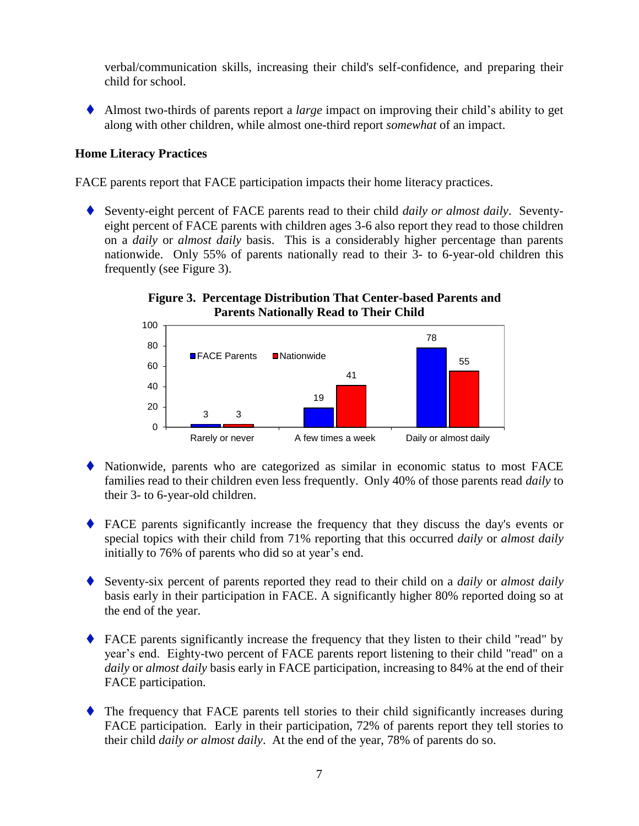verbal/communication skills, increasing their child's self-confidence, and preparing their child for school.

 Almost two-thirds of parents report a *large* impact on improving their child's ability to get along with other children, while almost one-third report *somewhat* of an impact.

#### **Home Literacy Practices**

FACE parents report that FACE participation impacts their home literacy practices.

 Seventy-eight percent of FACE parents read to their child *daily or almost daily*. Seventyeight percent of FACE parents with children ages 3-6 also report they read to those children on a *daily* or *almost daily* basis. This is a considerably higher percentage than parents nationwide. Only 55% of parents nationally read to their 3- to 6-year-old children this frequently (see Figure 3).





- Nationwide, parents who are categorized as similar in economic status to most FACE families read to their children even less frequently. Only 40% of those parents read *daily* to their 3- to 6-year-old children.
- FACE parents significantly increase the frequency that they discuss the day's events or special topics with their child from 71% reporting that this occurred *daily* or *almost daily* initially to 76% of parents who did so at year's end.
- Seventy-six percent of parents reported they read to their child on a *daily* or *almost daily* basis early in their participation in FACE. A significantly higher 80% reported doing so at the end of the year.
- FACE parents significantly increase the frequency that they listen to their child "read" by year's end. Eighty-two percent of FACE parents report listening to their child "read" on a *daily* or *almost daily* basis early in FACE participation, increasing to 84% at the end of their FACE participation.
- The frequency that FACE parents tell stories to their child significantly increases during FACE participation. Early in their participation, 72% of parents report they tell stories to their child *daily or almost daily*. At the end of the year, 78% of parents do so.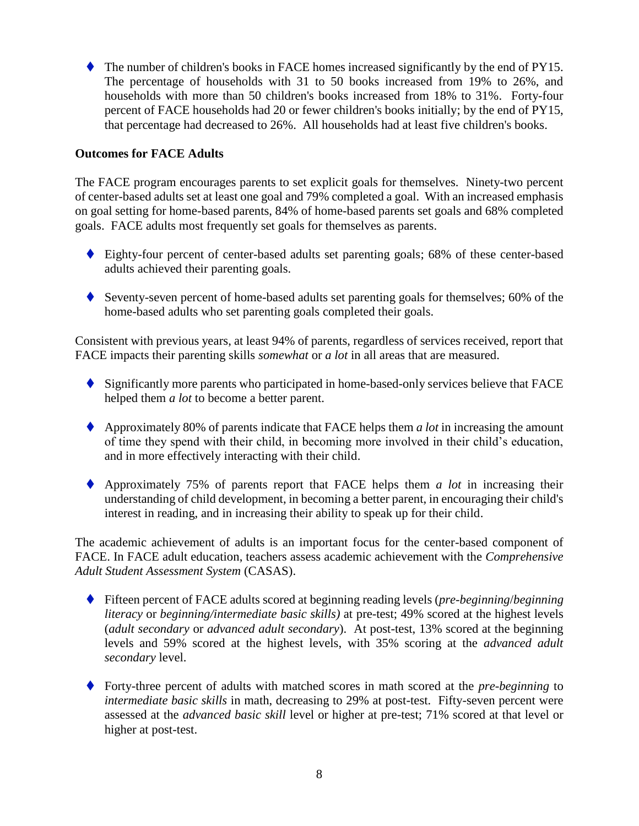The number of children's books in FACE homes increased significantly by the end of PY15. The percentage of households with 31 to 50 books increased from 19% to 26%, and households with more than 50 children's books increased from 18% to 31%. Forty-four percent of FACE households had 20 or fewer children's books initially; by the end of PY15, that percentage had decreased to 26%. All households had at least five children's books.

#### **Outcomes for FACE Adults**

The FACE program encourages parents to set explicit goals for themselves. Ninety-two percent of center-based adults set at least one goal and 79% completed a goal. With an increased emphasis on goal setting for home-based parents, 84% of home-based parents set goals and 68% completed goals. FACE adults most frequently set goals for themselves as parents.

- Eighty-four percent of center-based adults set parenting goals; 68% of these center-based adults achieved their parenting goals.
- Seventy-seven percent of home-based adults set parenting goals for themselves; 60% of the home-based adults who set parenting goals completed their goals.

Consistent with previous years, at least 94% of parents, regardless of services received, report that FACE impacts their parenting skills *somewhat* or *a lot* in all areas that are measured.

- Significantly more parents who participated in home-based-only services believe that FACE helped them *a lot* to become a better parent.
- Approximately 80% of parents indicate that FACE helps them *a lot* in increasing the amount of time they spend with their child, in becoming more involved in their child's education, and in more effectively interacting with their child.
- Approximately 75% of parents report that FACE helps them *a lot* in increasing their understanding of child development, in becoming a better parent, in encouraging their child's interest in reading, and in increasing their ability to speak up for their child.

The academic achievement of adults is an important focus for the center-based component of FACE. In FACE adult education, teachers assess academic achievement with the *Comprehensive Adult Student Assessment System* (CASAS).

- Fifteen percent of FACE adults scored at beginning reading levels (*pre-beginning*/*beginning literacy* or *beginning/intermediate basic skills)* at pre-test; 49% scored at the highest levels (*adult secondary* or *advanced adult secondary*). At post-test, 13% scored at the beginning levels and 59% scored at the highest levels, with 35% scoring at the *advanced adult secondary* level.
- Forty-three percent of adults with matched scores in math scored at the *pre-beginning* to *intermediate basic skills* in math, decreasing to 29% at post-test. Fifty-seven percent were assessed at the *advanced basic skill* level or higher at pre-test; 71% scored at that level or higher at post-test.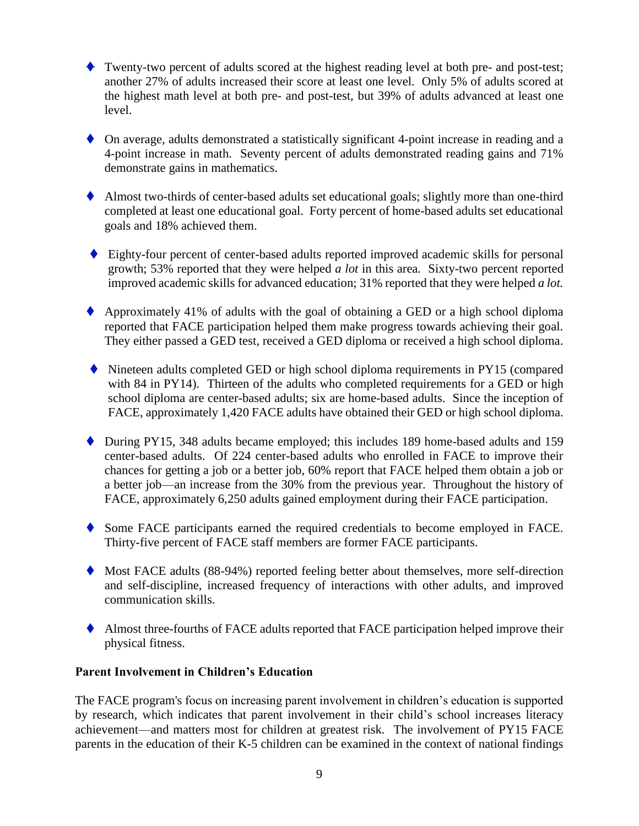- Twenty-two percent of adults scored at the highest reading level at both pre- and post-test; another 27% of adults increased their score at least one level. Only 5% of adults scored at the highest math level at both pre- and post-test, but 39% of adults advanced at least one level.
- On average, adults demonstrated a statistically significant 4-point increase in reading and a 4-point increase in math. Seventy percent of adults demonstrated reading gains and 71% demonstrate gains in mathematics.
- Almost two-thirds of center-based adults set educational goals; slightly more than one-third completed at least one educational goal. Forty percent of home-based adults set educational goals and 18% achieved them.
- Eighty-four percent of center-based adults reported improved academic skills for personal growth; 53% reported that they were helped *a lot* in this area*.* Sixty-two percent reported improved academic skills for advanced education; 31% reported that they were helped *a lot.*
- $\blacklozenge$  Approximately 41% of adults with the goal of obtaining a GED or a high school diploma reported that FACE participation helped them make progress towards achieving their goal. They either passed a GED test, received a GED diploma or received a high school diploma.
- Nineteen adults completed GED or high school diploma requirements in PY15 (compared with 84 in PY14). Thirteen of the adults who completed requirements for a GED or high school diploma are center-based adults; six are home-based adults. Since the inception of FACE, approximately 1,420 FACE adults have obtained their GED or high school diploma.
- During PY15, 348 adults became employed; this includes 189 home-based adults and 159 center-based adults. Of 224 center-based adults who enrolled in FACE to improve their chances for getting a job or a better job, 60% report that FACE helped them obtain a job or a better job—an increase from the 30% from the previous year. Throughout the history of FACE, approximately 6,250 adults gained employment during their FACE participation.
- Some FACE participants earned the required credentials to become employed in FACE. Thirty-five percent of FACE staff members are former FACE participants.
- Most FACE adults (88-94%) reported feeling better about themselves, more self-direction and self-discipline, increased frequency of interactions with other adults, and improved communication skills.
- Almost three-fourths of FACE adults reported that FACE participation helped improve their physical fitness.

#### **Parent Involvement in Children's Education**

The FACE program's focus on increasing parent involvement in children's education is supported by research, which indicates that parent involvement in their child's school increases literacy achievement—and matters most for children at greatest risk*.* The involvement of PY15 FACE parents in the education of their K-5 children can be examined in the context of national findings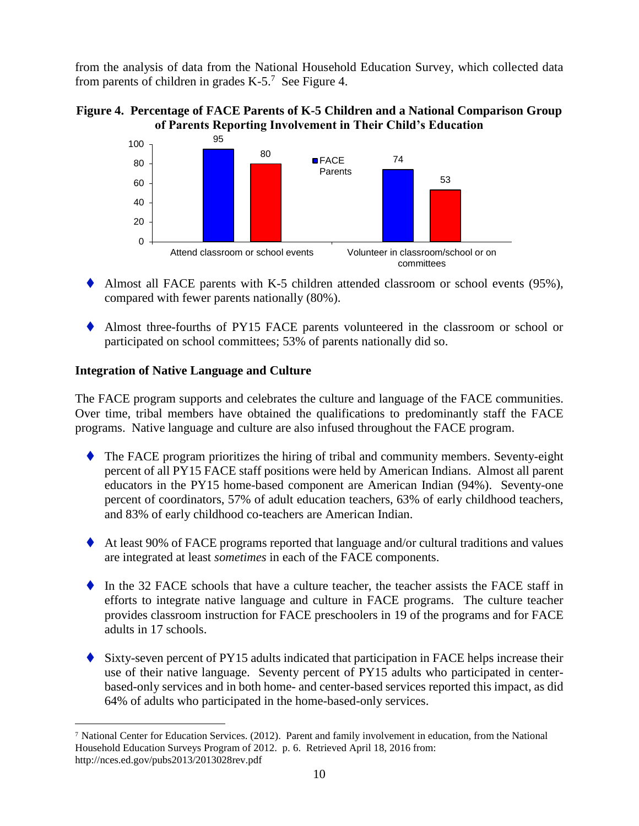from the analysis of data from the National Household Education Survey, which collected data from parents of children in grades  $K-5$ .<sup>7</sup> See Figure 4.





- Almost all FACE parents with K-5 children attended classroom or school events (95%), compared with fewer parents nationally (80%).
- Almost three-fourths of PY15 FACE parents volunteered in the classroom or school or participated on school committees; 53% of parents nationally did so.

#### **Integration of Native Language and Culture**

The FACE program supports and celebrates the culture and language of the FACE communities. Over time, tribal members have obtained the qualifications to predominantly staff the FACE programs. Native language and culture are also infused throughout the FACE program.

- The FACE program prioritizes the hiring of tribal and community members. Seventy-eight percent of all PY15 FACE staff positions were held by American Indians. Almost all parent educators in the PY15 home-based component are American Indian (94%). Seventy-one percent of coordinators, 57% of adult education teachers, 63% of early childhood teachers, and 83% of early childhood co-teachers are American Indian.
- At least 90% of FACE programs reported that language and/or cultural traditions and values are integrated at least *sometimes* in each of the FACE components.
- In the 32 FACE schools that have a culture teacher, the teacher assists the FACE staff in efforts to integrate native language and culture in FACE programs. The culture teacher provides classroom instruction for FACE preschoolers in 19 of the programs and for FACE adults in 17 schools.
- Sixty-seven percent of PY15 adults indicated that participation in FACE helps increase their use of their native language. Seventy percent of PY15 adults who participated in centerbased-only services and in both home- and center-based services reported this impact, as did 64% of adults who participated in the home-based-only services.

 $\overline{a}$ <sup>7</sup> National Center for Education Services. (2012). Parent and family involvement in education, from the National Household Education Surveys Program of 2012. p. 6. Retrieved April 18, 2016 from: http://nces.ed.gov/pubs2013/2013028rev.pdf